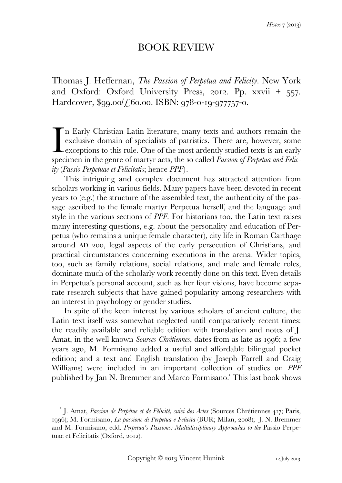## BOOK REVIEW

Thomas J. Heffernan, *The Passion of Perpetua and Felicity*. New York and Oxford: Oxford University Press, 2012. Pp.  $xxvii + 557$ . Hardcover,  $$qq.oo/f6o.oo$ . ISBN:  $q78-0-1q-977757-0$ .

n Early Christian Latin literature, many texts and authors remain the exclusive domain of specialists of patristics. There are, however, some exceptions to this rule. One of the most ardently studied texts is an early specimen in the genre of martyr acts, the so called *Passion of Perpetua and Felicity* (*Passio Perpetuae et Felicitatis*; hence *PPF*). I<br>spec

 This intriguing and complex document has attracted attention from scholars working in various fields. Many papers have been devoted in recent years to (e.g.) the structure of the assembled text, the authenticity of the passage ascribed to the female martyr Perpetua herself, and the language and style in the various sections of *PPF*. For historians too, the Latin text raises many interesting questions, e.g. about the personality and education of Perpetua (who remains a unique female character), city life in Roman Carthage around AD 200, legal aspects of the early persecution of Christians, and practical circumstances concerning executions in the arena. Wider topics, too, such as family relations, social relations, and male and female roles, dominate much of the scholarly work recently done on this text. Even details in Perpetua's personal account, such as her four visions, have become separate research subjects that have gained popularity among researchers with an interest in psychology or gender studies.

 In spite of the keen interest by various scholars of ancient culture, the Latin text itself was somewhat neglected until comparatively recent times: the readily available and reliable edition with translation and notes of J. Amat, in the well known *Sources Chrétiennes*, dates from as late as 1996; a few years ago, M. Formisano added a useful and affordable bilingual pocket edition; and a text and English translation (by Joseph Farrell and Craig Williams) were included in an important collection of studies on *PPF* published by Jan N. Bremmer and Marco Formisano. This last book shows

J. Amat, *Passion de Perpétue et de Félicité; suivi des Actes* (Sources Chrétiennes 417; Paris, 1996); M. Formisano, *La passione di Perpetua e Felicita* (BUR; Milan, 2008); J. N. Bremmer and M. Formisano, edd. *Perpetua's Passions: Multidisciplinary Approaches to the* Passio Perpetuae et Felicitatis (Oxford, 2012).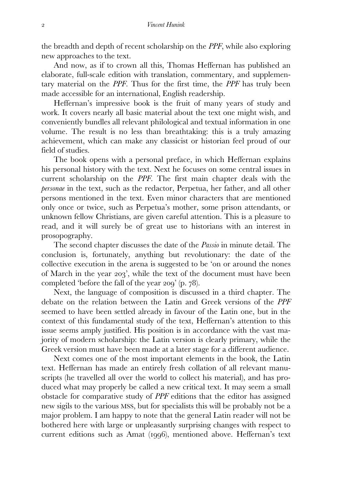the breadth and depth of recent scholarship on the *PPF*, while also exploring new approaches to the text.

 And now, as if to crown all this, Thomas Heffernan has published an elaborate, full-scale edition with translation, commentary, and supplementary material on the *PPF*. Thus for the first time, the *PPF* has truly been made accessible for an international, English readership.

 Heffernan's impressive book is the fruit of many years of study and work. It covers nearly all basic material about the text one might wish, and conveniently bundles all relevant philological and textual information in one volume. The result is no less than breathtaking: this is a truly amazing achievement, which can make any classicist or historian feel proud of our field of studies.

 The book opens with a personal preface, in which Heffernan explains his personal history with the text. Next he focuses on some central issues in current scholarship on the *PPF*. The first main chapter deals with the *personae* in the text, such as the redactor, Perpetua, her father, and all other persons mentioned in the text. Even minor characters that are mentioned only once or twice, such as Perpetua's mother, some prison attendants, or unknown fellow Christians, are given careful attention. This is a pleasure to read, and it will surely be of great use to historians with an interest in prosopography.

 The second chapter discusses the date of the *Passio* in minute detail. The conclusion is, fortunately, anything but revolutionary: the date of the collective execution in the arena is suggested to be 'on or around the nones of March in the year 203', while the text of the document must have been completed 'before the fall of the year  $200'$  (p.  $78$ ).

 Next, the language of composition is discussed in a third chapter. The debate on the relation between the Latin and Greek versions of the *PPF* seemed to have been settled already in favour of the Latin one, but in the context of this fundamental study of the text, Heffernan's attention to this issue seems amply justified. His position is in accordance with the vast majority of modern scholarship: the Latin version is clearly primary, while the Greek version must have been made at a later stage for a different audience.

 Next comes one of the most important elements in the book, the Latin text. Heffernan has made an entirely fresh collation of all relevant manuscripts (he travelled all over the world to collect his material), and has produced what may properly be called a new critical text. It may seem a small obstacle for comparative study of *PPF* editions that the editor has assigned new sigils to the various MSS, but for specialists this will be probably not be a major problem. I am happy to note that the general Latin reader will not be bothered here with large or unpleasantly surprising changes with respect to current editions such as Amat (1996), mentioned above. Heffernan's text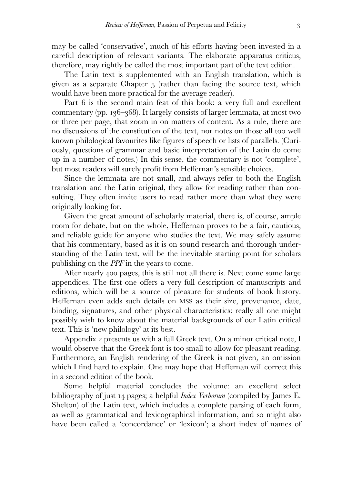may be called 'conservative', much of his efforts having been invested in a careful description of relevant variants. The elaborate apparatus criticus, therefore, may rightly be called the most important part of the text edition.

 The Latin text is supplemented with an English translation, which is given as a separate Chapter 5 (rather than facing the source text, which would have been more practical for the average reader).

Part 6 is the second main feat of this book: a very full and excellent commentary (pp.  $136-368$ ). It largely consists of larger lemmata, at most two or three per page, that zoom in on matters of content. As a rule, there are no discussions of the constitution of the text, nor notes on those all too well known philological favourites like figures of speech or lists of parallels. (Curiously, questions of grammar and basic interpretation of the Latin do come up in a number of notes.) In this sense, the commentary is not 'complete', but most readers will surely profit from Heffernan's sensible choices.

 Since the lemmata are not small, and always refer to both the English translation and the Latin original, they allow for reading rather than consulting. They often invite users to read rather more than what they were originally looking for.

 Given the great amount of scholarly material, there is, of course, ample room for debate, but on the whole, Heffernan proves to be a fair, cautious, and reliable guide for anyone who studies the text. We may safely assume that his commentary, based as it is on sound research and thorough understanding of the Latin text, will be the inevitable starting point for scholars publishing on the *PPF* in the years to come.

After nearly 400 pages, this is still not all there is. Next come some large appendices. The first one offers a very full description of manuscripts and editions, which will be a source of pleasure for students of book history. Heffernan even adds such details on MSS as their size, provenance, date, binding, signatures, and other physical characteristics: really all one might possibly wish to know about the material backgrounds of our Latin critical text. This is 'new philology' at its best.

Appendix 2 presents us with a full Greek text. On a minor critical note,  $I$ would observe that the Greek font is too small to allow for pleasant reading. Furthermore, an English rendering of the Greek is not given, an omission which I find hard to explain. One may hope that Heffernan will correct this in a second edition of the book.

 Some helpful material concludes the volume: an excellent select bibliography of just pages; a helpful *Index Verborum* (compiled by James E. Shelton) of the Latin text, which includes a complete parsing of each form, as well as grammatical and lexicographical information, and so might also have been called a 'concordance' or 'lexicon'; a short index of names of